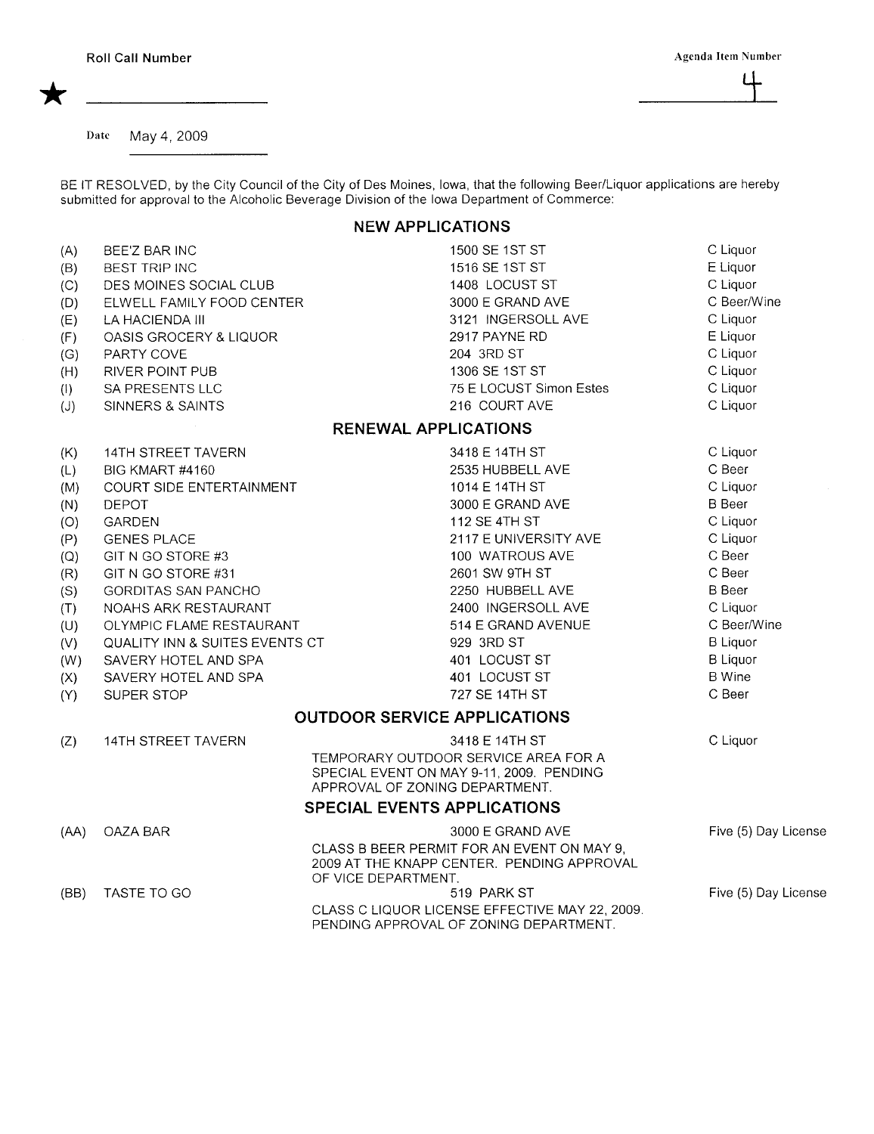\*

 $\mathfrak{a}$ 

Date May 4, 2009

BE IT RESOLVED, by the City Council of the City of Des Moines, Iowa, that the following Beer/Liquor applications are hereby submitted for approval to the Alcoholic Beverage Division of the Iowa Department of Commerce:

## NEW APPLICATIONS

| (A)  | BEE'Z BAR INC                  | 1500 SE 1ST ST                                                                                                     | C Liquor             |
|------|--------------------------------|--------------------------------------------------------------------------------------------------------------------|----------------------|
| (B)  | <b>BEST TRIP INC</b>           | 1516 SE 1ST ST                                                                                                     | E Liquor             |
| (C)  | DES MOINES SOCIAL CLUB         | 1408 LOCUST ST                                                                                                     | C Liquor             |
| (D)  | ELWELL FAMILY FOOD CENTER      | 3000 E GRAND AVE                                                                                                   | C Beer/Wine          |
| (E)  | LA HACIENDA III                | 3121 INGERSOLL AVE                                                                                                 | C Liquor             |
| (F)  | OASIS GROCERY & LIQUOR         | 2917 PAYNE RD                                                                                                      | E Liquor             |
| (G)  | PARTY COVE                     | 204 3RD ST                                                                                                         | C Liquor             |
| (H)  | RIVER POINT PUB                | 1306 SE 1ST ST                                                                                                     | C Liquor             |
| (1)  | SA PRESENTS LLC                | 75 E LOCUST Simon Estes                                                                                            | C Liquor             |
| (J)  | SINNERS & SAINTS               | 216 COURT AVE                                                                                                      | C Liquor             |
|      |                                | <b>RENEWAL APPLICATIONS</b>                                                                                        |                      |
| (K)  | 14TH STREET TAVERN             | 3418 E 14TH ST                                                                                                     | C Liquor             |
| (L)  | BIG KMART #4160                | 2535 HUBBELL AVE                                                                                                   | C Beer               |
| (M)  | COURT SIDE ENTERTAINMENT       | 1014 E 14TH ST                                                                                                     | C Liquor             |
| (N)  | <b>DEPOT</b>                   | 3000 E GRAND AVE                                                                                                   | <b>B</b> Beer        |
| (O)  | <b>GARDEN</b>                  | 112 SE 4TH ST                                                                                                      | C Liquor             |
| (P)  | <b>GENES PLACE</b>             | 2117 E UNIVERSITY AVE                                                                                              | C Liquor             |
| (Q)  | GIT N GO STORE #3              | 100 WATROUS AVE                                                                                                    | C Beer               |
| (R)  | GIT N GO STORE #31             | 2601 SW 9TH ST                                                                                                     | C Beer               |
| (S)  | GORDITAS SAN PANCHO            | 2250 HUBBELL AVE                                                                                                   | <b>B</b> Beer        |
| (T)  | NOAHS ARK RESTAURANT           | 2400 INGERSOLL AVE                                                                                                 | C Liquor             |
| (U)  | OLYMPIC FLAME RESTAURANT       | 514 E GRAND AVENUE                                                                                                 | C Beer/Wine          |
| (V)  | QUALITY INN & SUITES EVENTS CT | 929 3RD ST                                                                                                         | <b>B</b> Liquor      |
| (W)  | SAVERY HOTEL AND SPA           | 401 LOCUST ST                                                                                                      | <b>B</b> Liquor      |
| (X)  | SAVERY HOTEL AND SPA           | 401 LOCUST ST                                                                                                      | <b>B</b> Wine        |
| (Y)  | SUPER STOP                     | 727 SE 14TH ST                                                                                                     | C Beer               |
|      |                                | <b>OUTDOOR SERVICE APPLICATIONS</b>                                                                                |                      |
| (Z)  | <b>14TH STREET TAVERN</b>      | 3418 E 14TH ST                                                                                                     | C Liquor             |
|      |                                | TEMPORARY OUTDOOR SERVICE AREA FOR A<br>SPECIAL EVENT ON MAY 9-11, 2009. PENDING<br>APPROVAL OF ZONING DEPARTMENT. |                      |
|      |                                | <b>SPECIAL EVENTS APPLICATIONS</b>                                                                                 |                      |
| (AA) | OAZA BAR                       | 3000 E GRAND AVE                                                                                                   | Five (5) Day License |
|      |                                | CLASS B BEER PERMIT FOR AN EVENT ON MAY 9,<br>2009 AT THE KNAPP CENTER. PENDING APPROVAL<br>OF VICE DEPARTMENT.    |                      |
| (BB) | TASTE TO GO                    | 519 PARK ST                                                                                                        | Five (5) Day License |
|      |                                | CLASS C LIQUOR LICENSE EFFECTIVE MAY 22, 2009.<br>PENDING APPROVAL OF ZONING DEPARTMENT.                           |                      |